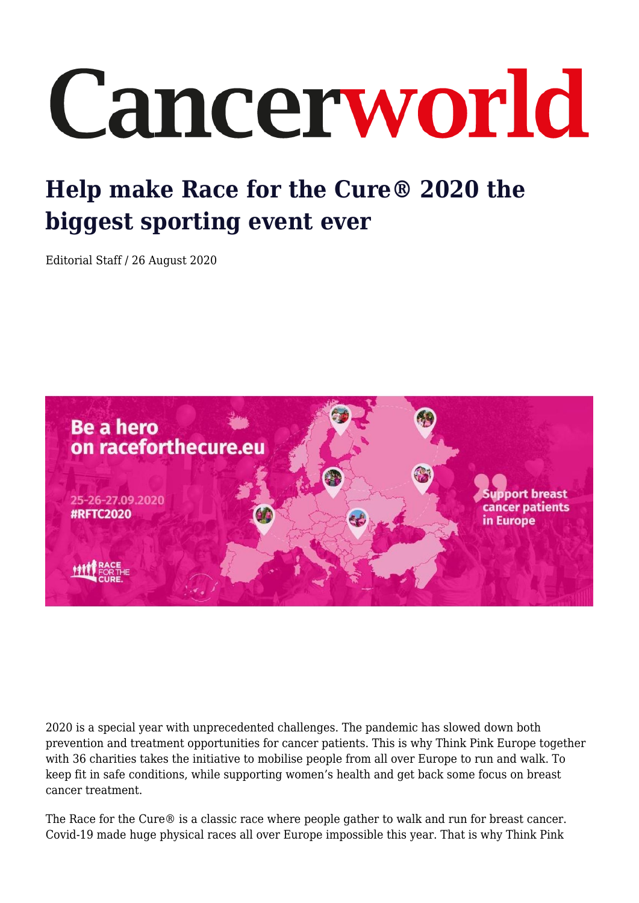## Cancerworld

## **Help make Race for the Cure® 2020 the biggest sporting event ever**

Editorial Staff / 26 August 2020



2020 is a special year with unprecedented challenges. The pandemic has slowed down both prevention and treatment opportunities for cancer patients. This is why Think Pink Europe together with 36 charities takes the initiative to mobilise people from all over Europe to run and walk. To keep fit in safe conditions, while supporting women's health and get back some focus on breast cancer treatment.

The Race for the Cure® is a classic race where people gather to walk and run for breast cancer. Covid-19 made huge physical races all over Europe impossible this year. That is why Think Pink